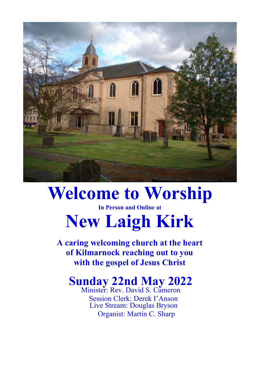

# **Welcome to Worship**

#### **In Person and Online at**

# **New Laigh Kirk**

**A caring welcoming church at the heart of Kilmarnock reaching out to you with the gospel of Jesus Christ**

# **Sunday 22nd May 2022**

Minister: Rev. David S. Cameron Session Clerk: Derek I'Anson Live Stream: Douglas Bryson Organist: Martin C. Sharp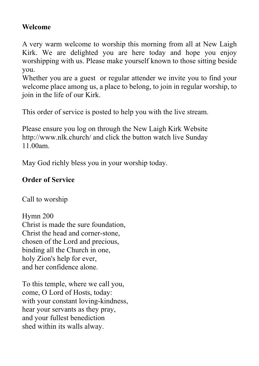## **Welcome**

A very warm welcome to worship this morning from all at New Laigh Kirk. We are delighted you are here today and hope you enjoy worshipping with us. Please make yourself known to those sitting beside you.

Whether you are a guest or regular attender we invite you to find your welcome place among us, a place to belong, to join in regular worship, to join in the life of our Kirk.

This order of service is posted to help you with the live stream.

Please ensure you log on through the New Laigh Kirk Website http://www.nlk.church/ and click the button watch live Sunday 11.00am.

May God richly bless you in your worship today.

# **Order of Service**

Call to worship

Hymn 200 Christ is made the sure foundation, Christ the head and corner-stone, chosen of the Lord and precious, binding all the Church in one, holy Zion's help for ever, and her confidence alone.

To this temple, where we call you, come, O Lord of Hosts, today: with your constant loving-kindness, hear your servants as they pray, and your fullest benediction shed within its walls alway.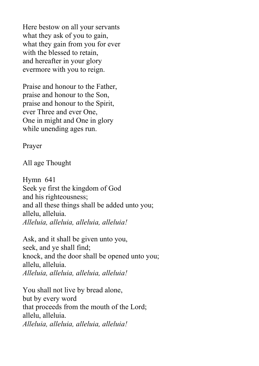Here bestow on all your servants what they ask of you to gain, what they gain from you for ever with the blessed to retain, and hereafter in your glory evermore with you to reign.

Praise and honour to the Father, praise and honour to the Son, praise and honour to the Spirit, ever Three and ever One, One in might and One in glory while unending ages run.

Prayer

All age Thought

Hymn 641 Seek ye first the kingdom of God and his righteousness; and all these things shall be added unto you; allelu, alleluia. *Alleluia, alleluia, alleluia, alleluia!*

Ask, and it shall be given unto you, seek, and ye shall find; knock, and the door shall be opened unto you; allelu, alleluia. *Alleluia, alleluia, alleluia, alleluia!*

You shall not live by bread alone, but by every word that proceeds from the mouth of the Lord; allelu, alleluia. *Alleluia, alleluia, alleluia, alleluia!*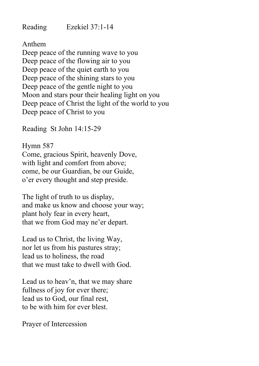Reading Ezekiel 37:1-14

Anthem

Deep peace of the running wave to you Deep peace of the flowing air to you Deep peace of the quiet earth to you Deep peace of the shining stars to you Deep peace of the gentle night to you Moon and stars pour their healing light on you Deep peace of Christ the light of the world to you Deep peace of Christ to you

Reading St John 14:15-29

Hymn 587 Come, gracious Spirit, heavenly Dove, with light and comfort from above; come, be our Guardian, be our Guide, o'er every thought and step preside.

The light of truth to us display, and make us know and choose your way; plant holy fear in every heart, that we from God may ne'er depart.

Lead us to Christ, the living Way, nor let us from his pastures stray; lead us to holiness, the road that we must take to dwell with God.

Lead us to heav'n, that we may share fullness of joy for ever there: lead us to God, our final rest, to be with him for ever blest.

Prayer of Intercession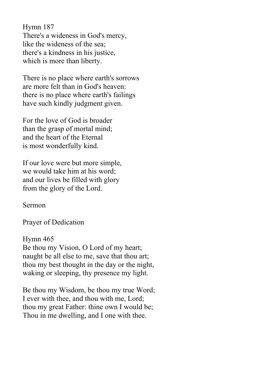Hymn 187 There's a wideness in God's mercy, like the wideness of the sea; there's a kindness in his justice, which is more than liberty.

There is no place where earth's sorrows are more felt than in God's heaven: there is no place where earth's failings have such kindly judgment given.

For the love of God is broader than the grasp of mortal mind; and the heart of the Eternal is most wonderfully kind.

If our love were but more simple, we would take him at his word; and our lives be filled with glory from the glory of the Lord.

Sermon

Prayer of Dedication

Hymn 465 Be thou my Vision, O Lord of my heart; naught be all else to me, save that thou art; thou my best thought in the day or the night, waking or sleeping, thy presence my light.

Be thou my Wisdom, be thou my true Word; I ever with thee, and thou with me, Lord; thou my great Father: thine own I would be; Thou in me dwelling, and I one with thee.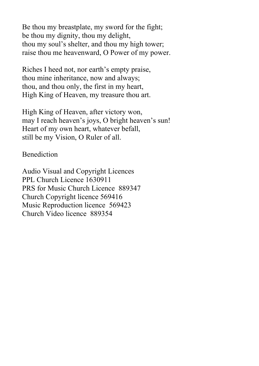Be thou my breastplate, my sword for the fight; be thou my dignity, thou my delight, thou my soul's shelter, and thou my high tower; raise thou me heavenward, O Power of my power.

Riches I heed not, nor earth's empty praise, thou mine inheritance, now and always; thou, and thou only, the first in my heart, High King of Heaven, my treasure thou art.

High King of Heaven, after victory won, may I reach heaven's joys, O bright heaven's sun! Heart of my own heart, whatever befall, still be my Vision, O Ruler of all.

#### Benediction

Audio Visual and Copyright Licences PPL Church Licence 1630911 PRS for Music Church Licence 889347 Church Copyright licence 569416 Music Reproduction licence 569423 Church Video licence 889354